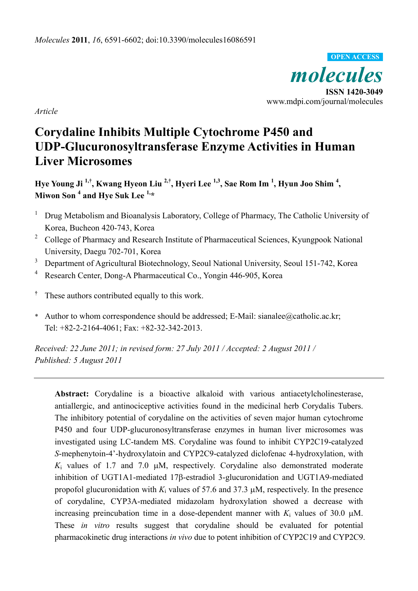*molecules*  **ISSN 1420-3049 OPEN ACCESS**

www.mdpi.com/journal/molecules

*Article*

# **Corydaline Inhibits Multiple Cytochrome P450 and UDP-Glucuronosyltransferase Enzyme Activities in Human Liver Microsomes**

**Hye Young Ji 1,†, Kwang Hyeon Liu 2,†, Hyeri Lee 1,3, Sae Rom Im 1 , Hyun Joo Shim 4 , Miwon Son <sup>4</sup> and Hye Suk Lee 1,\*** 

- 1 Drug Metabolism and Bioanalysis Laboratory, College of Pharmacy, The Catholic University of Korea, Bucheon 420-743, Korea
- <sup>2</sup> College of Pharmacy and Research Institute of Pharmaceutical Sciences, Kyungpook National University, Daegu 702-701, Korea
- 3 Department of Agricultural Biotechnology, Seoul National University, Seoul 151-742, Korea
- 4 Research Center, Dong-A Pharmaceutical Co., Yongin 446-905, Korea
- **†** These authors contributed equally to this work.
- \* Author to whom correspondence should be addressed; E-Mail: sianalee@catholic.ac.kr; Tel: +82-2-2164-4061; Fax: +82-32-342-2013.

*Received: 22 June 2011; in revised form: 27 July 2011 / Accepted: 2 August 2011 / Published: 5 August 2011* 

**Abstract:** Corydaline is a bioactive alkaloid with various antiacetylcholinesterase, antiallergic, and antinociceptive activities found in the medicinal herb Corydalis Tubers. The inhibitory potential of corydaline on the activities of seven major human cytochrome P450 and four UDP-glucuronosyltransferase enzymes in human liver microsomes was investigated using LC-tandem MS. Corydaline was found to inhibit CYP2C19-catalyzed *S*-mephenytoin-4'-hydroxylatoin and CYP2C9-catalyzed diclofenac 4-hydroxylation, with  $K_i$  values of 1.7 and 7.0  $\mu$ M, respectively. Corydaline also demonstrated moderate inhibition of UGT1A1-mediated 17β-estradiol 3-glucuronidation and UGT1A9-mediated propofol glucuronidation with  $K_i$  values of 57.6 and 37.3  $\mu$ M, respectively. In the presence of corydaline, CYP3A-mediated midazolam hydroxylation showed a decrease with increasing preincubation time in a dose-dependent manner with  $K_i$  values of 30.0  $\mu$ M. These *in vitro* results suggest that corydaline should be evaluated for potential pharmacokinetic drug interactions *in vivo* due to potent inhibition of CYP2C19 and CYP2C9.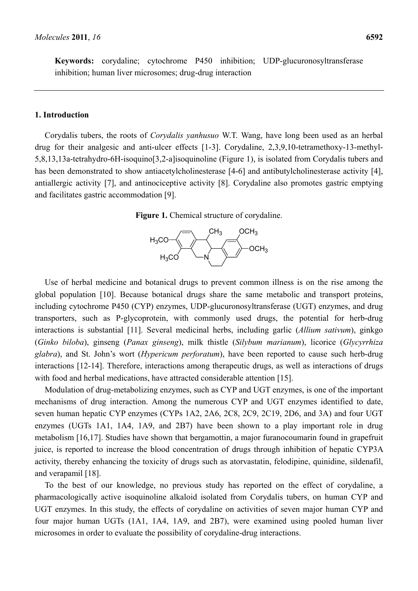# **1. Introduction**

Corydalis tubers, the roots of *Corydalis yanhusuo* W.T. Wang, have long been used as an herbal drug for their analgesic and anti-ulcer effects [1-3]. Corydaline, 2,3,9,10-tetramethoxy-13-methyl-5,8,13,13a-tetrahydro-6H-isoquino[3,2-a]isoquinoline (Figure 1), is isolated from Corydalis tubers and has been demonstrated to show antiacetylcholinesterase [4-6] and antibutylcholinesterase activity [4], antiallergic activity [7], and antinociceptive activity [8]. Corydaline also promotes gastric emptying and facilitates gastric accommodation [9].





Use of herbal medicine and botanical drugs to prevent common illness is on the rise among the global population [10]. Because botanical drugs share the same metabolic and transport proteins, including cytochrome P450 (CYP) enzymes, UDP-glucuronosyltransferase (UGT) enzymes, and drug transporters, such as P-glycoprotein, with commonly used drugs, the potential for herb-drug interactions is substantial [11]. Several medicinal herbs, including garlic (*Allium sativum*), ginkgo (*Ginko biloba*), ginseng (*Panax ginseng*), milk thistle (*Silybum marianum*), licorice (*Glycyrrhiza glabra*), and St. John's wort (*Hypericum perforatum*), have been reported to cause such herb-drug interactions [12-14]. Therefore, interactions among therapeutic drugs, as well as interactions of drugs with food and herbal medications, have attracted considerable attention [15].

Modulation of drug-metabolizing enzymes, such as CYP and UGT enzymes, is one of the important mechanisms of drug interaction. Among the numerous CYP and UGT enzymes identified to date, seven human hepatic CYP enzymes (CYPs 1A2, 2A6, 2C8, 2C9, 2C19, 2D6, and 3A) and four UGT enzymes (UGTs 1A1, 1A4, 1A9, and 2B7) have been shown to a play important role in drug metabolism [16,17]. Studies have shown that bergamottin, a major furanocoumarin found in grapefruit juice, is reported to increase the blood concentration of drugs through inhibition of hepatic CYP3A activity, thereby enhancing the toxicity of drugs such as atorvastatin, felodipine, quinidine, sildenafil, and verapamil [18].

To the best of our knowledge, no previous study has reported on the effect of corydaline, a pharmacologically active isoquinoline alkaloid isolated from Corydalis tubers, on human CYP and UGT enzymes. In this study, the effects of corydaline on activities of seven major human CYP and four major human UGTs (1A1, 1A4, 1A9, and 2B7), were examined using pooled human liver microsomes in order to evaluate the possibility of corydaline-drug interactions.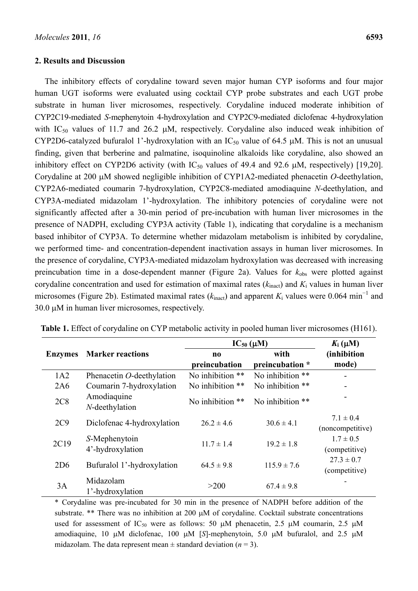#### **2. Results and Discussion**

The inhibitory effects of corydaline toward seven major human CYP isoforms and four major human UGT isoforms were evaluated using cocktail CYP probe substrates and each UGT probe substrate in human liver microsomes, respectively. Corydaline induced moderate inhibition of CYP2C19-mediated *S*-mephenytoin 4-hydroxylation and CYP2C9-mediated diclofenac 4-hydroxylation with IC<sub>50</sub> values of 11.7 and 26.2  $\mu$ M, respectively. Corydaline also induced weak inhibition of CYP2D6-catalyzed bufuralol 1'-hydroxylation with an  $IC_{50}$  value of 64.5  $\mu$ M. This is not an unusual finding, given that berberine and palmatine, isoquinoline alkaloids like corydaline, also showed an inhibitory effect on CYP2D6 activity (with  $IC_{50}$  values of 49.4 and 92.6  $\mu$ M, respectively) [19,20]. Corydaline at 200 μM showed negligible inhibition of CYP1A2-mediated phenacetin *O*-deethylation, CYP2A6-mediated coumarin 7-hydroxylation, CYP2C8-mediated amodiaquine *N*-deethylation, and CYP3A-mediated midazolam 1'-hydroxylation. The inhibitory potencies of corydaline were not significantly affected after a 30-min period of pre-incubation with human liver microsomes in the presence of NADPH, excluding CYP3A activity (Table 1), indicating that corydaline is a mechanism based inhibitor of CYP3A. To determine whether midazolam metabolism is inhibited by corydaline, we performed time- and concentration-dependent inactivation assays in human liver microsomes. In the presence of corydaline, CYP3A-mediated midazolam hydroxylation was decreased with increasing preincubation time in a dose-dependent manner (Figure 2a). Values for  $k_{obs}$  were plotted against corydaline concentration and used for estimation of maximal rates (*k*inact) and *K*i values in human liver microsomes (Figure 2b). Estimated maximal rates ( $k_{\text{inact}}$ ) and apparent  $K_i$  values were 0.064 min<sup>-1</sup> and 30.0 μM in human liver microsomes, respectively.

|                |                                   | $IC_{50}$ ( $\mu$ M)                    | $K_i(\mu M)$            |                                   |
|----------------|-----------------------------------|-----------------------------------------|-------------------------|-----------------------------------|
| <b>Enzymes</b> | <b>Marker reactions</b>           | $\mathbf{n}\mathbf{o}$<br>preincubation | with<br>preincubation * | (inhibition<br>mode)              |
| 1A2            | Phenacetin O-deethylation         | No inhibition **                        | No inhibition **        |                                   |
| 2A6            | Coumarin 7-hydroxylation          | No inhibition **                        | No inhibition **        |                                   |
| 2C8            | Amodiaquine<br>N-deethylation     | No inhibition **                        | No inhibition **        |                                   |
| 2C9            | Diclofenac 4-hydroxylation        | $262 \pm 46$                            | $30.6 \pm 4.1$          | $7.1 \pm 0.4$<br>(noncompetitive) |
| 2C19           | S-Mephenytoin<br>4'-hydroxylation | $11.7 \pm 1.4$                          | $19.2 \pm 1.8$          | $1.7 \pm 0.5$<br>(competitive)    |
| 2D6            | Bufuralol 1'-hydroxylation        | $64.5 \pm 9.8$                          | $115.9 \pm 7.6$         | $27.3 \pm 0.7$<br>(competitive)   |
| 3A             | Midazolam<br>1'-hydroxylation     | >200                                    | $67.4 \pm 9.8$          |                                   |

**Table 1.** Effect of corydaline on CYP metabolic activity in pooled human liver microsomes (H161).

\* Corydaline was pre-incubated for 30 min in the presence of NADPH before addition of the substrate. \*\* There was no inhibition at 200 μM of corydaline. Cocktail substrate concentrations used for assessment of IC<sub>50</sub> were as follows: 50  $\mu$ M phenacetin, 2.5  $\mu$ M coumarin, 2.5  $\mu$ M amodiaquine, 10 μM diclofenac, 100 μM [*S*]-mephenytoin, 5.0 μM bufuralol, and 2.5 μM midazolam. The data represent mean  $\pm$  standard deviation ( $n = 3$ ).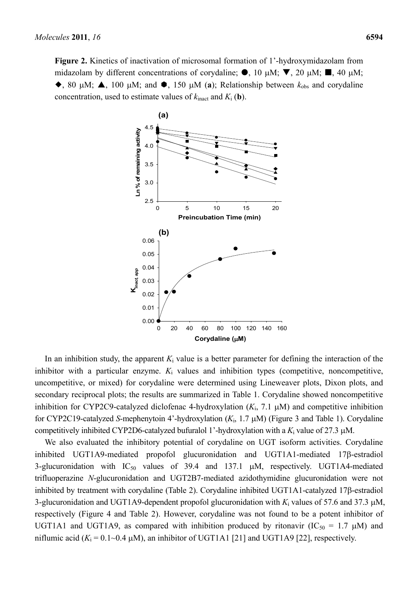**Figure 2.** Kinetics of inactivation of microsomal formation of 1'-hydroxymidazolam from midazolam by different concentrations of corydaline;  $\bullet$ , 10 μM;  $\nabla$ , 20 μM;  $\blacksquare$ , 40 μM;  $\blacklozenge$ , 80 μM;  $\blacktriangle$ , 100 μM; and  $\blacklozenge$ , 150 μM (a); Relationship between  $k_{obs}$  and corydaline concentration, used to estimate values of  $k_{\text{inact}}$  and  $K_i$  (**b**).



In an inhibition study, the apparent  $K_i$  value is a better parameter for defining the interaction of the inhibitor with a particular enzyme.  $K_i$  values and inhibition types (competitive, noncompetitive, uncompetitive, or mixed) for corydaline were determined using Lineweaver plots, Dixon plots, and secondary reciprocal plots; the results are summarized in Table 1. Corydaline showed noncompetitive inhibition for CYP2C9-catalyzed diclofenac 4-hydroxylation  $(K_i, 7.1 \mu M)$  and competitive inhibition for CYP2C19-catalyzed *S*-mephenytoin 4'-hydroxylation (*K*i, 1.7 μM) (Figure 3 and Table 1). Corydaline competitively inhibited CYP2D6-catalyzed bufuralol 1'-hydroxylation with a *K*i value of 27.3 μM.

We also evaluated the inhibitory potential of corydaline on UGT isoform activities. Corydaline inhibited UGT1A9-mediated propofol glucuronidation and UGT1A1-mediated 17β-estradiol 3-glucuronidation with  $IC_{50}$  values of 39.4 and 137.1  $\mu$ M, respectively. UGT1A4-mediated trifluoperazine *N*-glucuronidation and UGT2B7-mediated azidothymidine glucuronidation were not inhibited by treatment with corydaline (Table 2). Corydaline inhibited UGT1A1-catalyzed 17β-estradiol 3-glucuronidation and UGT1A9-dependent propofol glucuronidation with  $K_i$  values of 57.6 and 37.3  $\mu$ M, respectively (Figure 4 and Table 2). However, corydaline was not found to be a potent inhibitor of UGT1A1 and UGT1A9, as compared with inhibition produced by ritonavir (IC<sub>50</sub> = 1.7  $\mu$ M) and niflumic acid ( $K_i$  = 0.1~0.4 μM), an inhibitor of UGT1A1 [21] and UGT1A9 [22], respectively.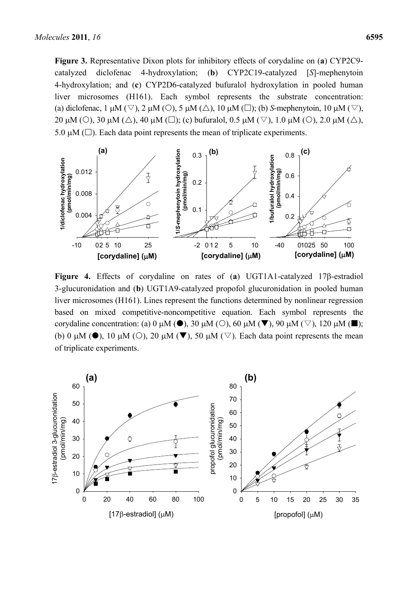**Figure 3.** Representative Dixon plots for inhibitory effects of corydaline on (**a**) CYP2C9 catalyzed diclofenac 4-hydroxylation; (**b**) CYP2C19-catalyzed [*S*]-mephenytoin 4-hydroxylation; and (**c**) CYP2D6-catalyzed bufuralol hydroxylation in pooled human liver microsomes (H161). Each symbol represents the substrate concentration: (a) diclofenac,  $1 \mu M (\nabla)$ ,  $2 \mu M (O)$ ,  $5 \mu M (\Delta)$ ,  $10 \mu M (\square)$ ; (b) *S*-mephenytoin,  $10 \mu M (\nabla)$ , 20 μM ( $\circ$ ), 30 μM ( $\triangle$ ), 40 μM ( $\square$ ); (c) bufuralol, 0.5 μM ( $\triangledown$ ), 1.0 μM ( $\circlearrowright$ ), 2.0 μM ( $\triangle$ ), 5.0  $\mu$ M ( $\square$ ). Each data point represents the mean of triplicate experiments.



**Figure 4.** Effects of corydaline on rates of (**a**) UGT1A1-catalyzed 17β-estradiol 3-glucuronidation and (**b**) UGT1A9-catalyzed propofol glucuronidation in pooled human liver microsomes (H161). Lines represent the functions determined by nonlinear regression based on mixed competitive-noncompetitive equation. Each symbol represents the corydaline concentration: (a) 0 μM ( $\bullet$ ), 30 μM ( $\circ$ ), 60 μM ( $\blacktriangledown$ ), 90 μM ( $\triangledown$ ), 120 μM ( $\blacksquare$ ); (b) 0 μM ( $\bullet$ ), 10 μM ( $\circ$ ), 20 μM ( $\nabla$ ), 50 μM ( $\triangledown$ ). Each data point represents the mean of triplicate experiments.

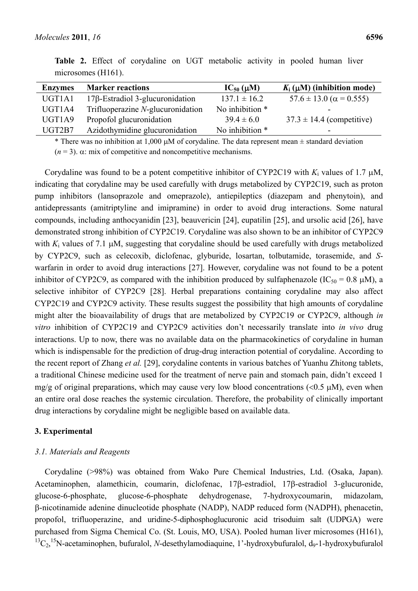| <b>Enzymes</b> | <b>Marker reactions</b>                | $IC_{50}(\mu M)$ | $K_i(\mu M)$ (inhibition mode)      |
|----------------|----------------------------------------|------------------|-------------------------------------|
| UGT1A1         | $17\beta$ -Estradiol 3-glucuronidation | $137.1 \pm 16.2$ | $57.6 \pm 13.0$ ( $\alpha$ = 0.555) |
| UGT1A4         | Trifluoperazine N-glucuronidation      | No inhibition *  | -                                   |
| UGT1A9         | Propofol glucuronidation               | $39.4 \pm 6.0$   | $37.3 \pm 14.4$ (competitive)       |
| UGT2B7         | Azidothymidine glucuronidation         | No inhibition *  | -                                   |

**Table 2.** Effect of corydaline on UGT metabolic activity in pooled human liver microsomes (H161).

\* There was no inhibition at 1,000  $\mu$ M of corydaline. The data represent mean  $\pm$  standard deviation ( $n = 3$ ).  $\alpha$ : mix of competitive and noncompetitive mechanisms.

Corydaline was found to be a potent competitive inhibitor of CYP2C19 with *K*i values of 1.7 μM, indicating that corydaline may be used carefully with drugs metabolized by CYP2C19, such as proton pump inhibitors (lansoprazole and omeprazole), antiepileptics (diazepam and phenytoin), and antidepressants (amitriptyline and imipramine) in order to avoid drug interactions. Some natural compounds, including anthocyanidin [23], beauvericin [24], eupatilin [25], and ursolic acid [26], have demonstrated strong inhibition of CYP2C19. Corydaline was also shown to be an inhibitor of CYP2C9 with  $K_i$  values of 7.1  $\mu$ M, suggesting that corydaline should be used carefully with drugs metabolized by CYP2C9, such as celecoxib, diclofenac, glyburide, losartan, tolbutamide, torasemide, and *S*warfarin in order to avoid drug interactions [27]. However, corydaline was not found to be a potent inhibitor of CYP2C9, as compared with the inhibition produced by sulfaphenazole (IC<sub>50</sub> = 0.8  $\mu$ M), a selective inhibitor of CYP2C9 [28]. Herbal preparations containing corydaline may also affect CYP2C19 and CYP2C9 activity. These results suggest the possibility that high amounts of corydaline might alter the bioavailability of drugs that are metabolized by CYP2C19 or CYP2C9, although *in vitro* inhibition of CYP2C19 and CYP2C9 activities don't necessarily translate into *in vivo* drug interactions. Up to now, there was no available data on the pharmacokinetics of corydaline in human which is indispensable for the prediction of drug-drug interaction potential of corydaline. According to the recent report of Zhang *et al.* [29], corydaline contents in various batches of Yuanhu Zhitong tablets, a traditional Chinese medicine used for the treatment of nerve pain and stomach pain, didn't exceed 1 mg/g of original preparations, which may cause very low blood concentrations ( $< 0.5 \mu$ M), even when an entire oral dose reaches the systemic circulation. Therefore, the probability of clinically important drug interactions by corydaline might be negligible based on available data.

# **3. Experimental**

#### *3.1. Materials and Reagents*

Corydaline (>98%) was obtained from Wako Pure Chemical Industries, Ltd. (Osaka, Japan). Acetaminophen, alamethicin, coumarin, diclofenac, 17β-estradiol, 17β-estradiol 3-glucuronide, glucose-6-phosphate, glucose-6-phosphate dehydrogenase, 7-hydroxycoumarin, midazolam, β-nicotinamide adenine dinucleotide phosphate (NADP), NADP reduced form (NADPH), phenacetin, propofol, trifluoperazine, and uridine-5-diphosphoglucuronic acid trisoduim salt (UDPGA) were purchased from Sigma Chemical Co. (St. Louis, MO, USA). Pooled human liver microsomes (H161), <sup>13</sup>C<sub>2</sub>,<sup>15</sup>N-acetaminophen, bufuralol, *N*-desethylamodiaquine, 1'-hydroxybufuralol, d<sub>9</sub>-1-hydroxybufuralol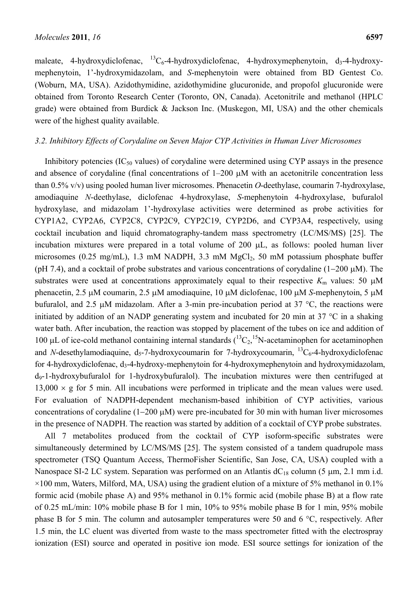maleate, 4-hydroxydiclofenac,  ${}^{13}C_6$ -4-hydroxydiclofenac, 4-hydroxymephenytoin, d<sub>3</sub>-4-hydroxymephenytoin, 1'-hydroxymidazolam, and *S*-mephenytoin were obtained from BD Gentest Co. (Woburn, MA, USA). Azidothymidine, azidothymidine glucuronide, and propofol glucuronide were obtained from Toronto Research Center (Toronto, ON, Canada). Acetonitrile and methanol (HPLC grade) were obtained from Burdick & Jackson Inc. (Muskegon, MI, USA) and the other chemicals were of the highest quality available.

## *3.2. Inhibitory Effects of Corydaline on Seven Major CYP Activities in Human Liver Microsomes*

Inhibitory potencies  $(IC_{50}$  values) of corydaline were determined using CYP assays in the presence and absence of corydaline (final concentrations of 1–200 μM with an acetonitrile concentration less than 0.5% v/v) using pooled human liver microsomes. Phenacetin *O*-deethylase, coumarin 7-hydroxylase, amodiaquine *N*-deethylase, diclofenac 4-hydroxylase, *S*-mephenytoin 4-hydroxylase, bufuralol hydroxylase, and midazolam 1'-hydroxylase activities were determined as probe activities for CYP1A2, CYP2A6, CYP2C8, CYP2C9, CYP2C19, CYP2D6, and CYP3A4, respectively, using cocktail incubation and liquid chromatography-tandem mass spectrometry (LC/MS/MS) [25]. The incubation mixtures were prepared in a total volume of 200 μL, as follows: pooled human liver microsomes (0.25 mg/mL), 1.3 mM NADPH, 3.3 mM  $MgCl<sub>2</sub>$ , 50 mM potassium phosphate buffer (pH 7.4), and a cocktail of probe substrates and various concentrations of corydaline (1−200 μM). The substrates were used at concentrations approximately equal to their respective  $K<sub>m</sub>$  values: 50  $\mu$ M phenacetin, 2.5 μM coumarin, 2.5 μM amodiaquine, 10 μM diclofenac, 100 μM *S*-mephenytoin, 5 μM bufuralol, and 2.5 μM midazolam. After a 3-min pre-incubation period at 37 °C, the reactions were initiated by addition of an NADP generating system and incubated for 20 min at 37 °C in a shaking water bath. After incubation, the reaction was stopped by placement of the tubes on ice and addition of 100 μL of ice-cold methanol containing internal standards  $(^{13}C_2, ^{15}N$ -acetaminophen for acetaminophen and *N*-desethylamodiaquine,  $d_5$ -7-hydroxycoumarin for 7-hydroxycoumarin,  ${}^{13}C_6$ -4-hydroxydiclofenac for 4-hydroxydiclofenac, d<sub>3</sub>-4-hydroxy-mephenytoin for 4-hydroxymephenytoin and hydroxymidazolam, d9-1-hydroxybufuralol for 1-hydroxybufuralol). The incubation mixtures were then centrifuged at  $13,000 \times g$  for 5 min. All incubations were performed in triplicate and the mean values were used. For evaluation of NADPH-dependent mechanism-based inhibition of CYP activities, various concentrations of corydaline (1−200 μM) were pre-incubated for 30 min with human liver microsomes in the presence of NADPH. The reaction was started by addition of a cocktail of CYP probe substrates.

All 7 metabolites produced from the cocktail of CYP isoform-specific substrates were simultaneously determined by LC/MS/MS [25]. The system consisted of a tandem quadrupole mass spectrometer (TSQ Quantum Access, ThermoFisher Scientific, San Jose, CA, USA) coupled with a Nanospace SI-2 LC system. Separation was performed on an Atlantis  $dC_{18}$  column (5 µm, 2.1 mm i.d.  $\times$ 100 mm, Waters, Milford, MA, USA) using the gradient elution of a mixture of 5% methanol in 0.1% formic acid (mobile phase A) and 95% methanol in 0.1% formic acid (mobile phase B) at a flow rate of 0.25 mL/min: 10% mobile phase B for 1 min, 10% to 95% mobile phase B for 1 min, 95% mobile phase B for 5 min. The column and autosampler temperatures were 50 and 6 °C, respectively. After 1.5 min, the LC eluent was diverted from waste to the mass spectrometer fitted with the electrospray ionization (ESI) source and operated in positive ion mode. ESI source settings for ionization of the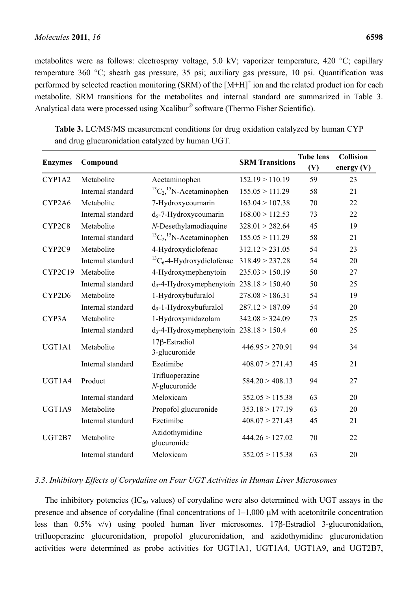metabolites were as follows: electrospray voltage, 5.0 kV; vaporizer temperature, 420 °C; capillary temperature 360 °C; sheath gas pressure, 35 psi; auxiliary gas pressure, 10 psi. Quantification was performed by selected reaction monitoring (SRM) of the [M+H]<sup>+</sup> ion and the related product ion for each metabolite. SRM transitions for the metabolites and internal standard are summarized in Table 3. Analytical data were processed using Xcalibur® software (Thermo Fisher Scientific).

| <b>Enzymes</b> | Compound          |                                              | <b>SRM</b> Transitions | <b>Tube lens</b><br>(V) | <b>Collision</b><br>energy $(V)$ |
|----------------|-------------------|----------------------------------------------|------------------------|-------------------------|----------------------------------|
| CYP1A2         | Metabolite        | Acetaminophen                                | 152.19 > 110.19        | 59                      | 23                               |
|                | Internal standard | ${}^{13}C_2$ , <sup>15</sup> N-Acetaminophen | 155.05 > 111.29        | 58                      | 21                               |
| CYP2A6         | Metabolite        | 7-Hydroxycoumarin                            | 163.04 > 107.38        | 70                      | 22                               |
|                | Internal standard | $d_5$ -7-Hydroxycoumarin                     | 168.00 > 112.53        | 73                      | 22                               |
| CYP2C8         | Metabolite        | N-Desethylamodiaquine                        | 328.01 > 282.64        | 45                      | 19                               |
|                | Internal standard | ${}^{13}C_2$ , <sup>15</sup> N-Acetaminophen | 155.05 > 111.29        | 58                      | 21                               |
| CYP2C9         | Metabolite        | 4-Hydroxydiclofenac                          | 312.12 > 231.05        | 54                      | 23                               |
|                | Internal standard | ${}^{13}C_6$ -4-Hydroxydiclofenac            | 318.49 > 237.28        | 54                      | 20                               |
| CYP2C19        | Metabolite        | 4-Hydroxymephenytoin                         | 235.03 > 150.19        | 50                      | 27                               |
|                | Internal standard | $d_3$ -4-Hydroxymephenytoin 238.18 > 150.40  |                        | 50                      | 25                               |
| CYP2D6         | Metabolite        | 1-Hydroxybufuralol                           | 278.08 > 186.31        | 54                      | 19                               |
|                | Internal standard | d <sub>9</sub> -1-Hydroxybufuralol           | 287.12 > 187.09        | 54                      | 20                               |
| CYP3A          | Metabolite        | 1-Hydroxymidazolam                           | 342.08 > 324.09        | 73                      | 25                               |
|                | Internal standard | $d_3$ -4-Hydroxymephenytoin 238.18 > 150.4   |                        | 60                      | 25                               |
| UGT1A1         | Metabolite        | $17\beta$ -Estradiol<br>3-glucuronide        | 446.95 > 270.91        | 94                      | 34                               |
|                | Internal standard | Ezetimibe                                    | 408.07 > 271.43        | 45                      | 21                               |
| UGT1A4         | Product           | Trifluoperazine<br>$N$ -glucuronide          | 584.20 > 408.13        | 94                      | 27                               |
|                | Internal standard | Meloxicam                                    | 352.05 > 115.38        | 63                      | 20                               |
| UGT1A9         | Metabolite        | Propofol glucuronide                         | 353.18 > 177.19        | 63                      | 20                               |
|                | Internal standard | Ezetimibe                                    | 408.07 > 271.43        | 45                      | 21                               |
| UGT2B7         | Metabolite        | Azidothymidine<br>glucuronide                | 444.26 > 127.02        | 70                      | 22                               |
|                | Internal standard | Meloxicam                                    | 352.05 > 115.38        | 63                      | 20                               |

**Table 3.** LC/MS/MS measurement conditions for drug oxidation catalyzed by human CYP and drug glucuronidation catalyzed by human UGT.

# *3.3*. *Inhibitory Effects of Corydaline on Four UGT Activities in Human Liver Microsomes*

The inhibitory potencies  $(IC_{50}$  values) of corydaline were also determined with UGT assays in the presence and absence of corydaline (final concentrations of 1–1,000 μM with acetonitrile concentration less than 0.5% v/v) using pooled human liver microsomes. 17β-Estradiol 3-glucuronidation, trifluoperazine glucuronidation, propofol glucuronidation, and azidothymidine glucuronidation activities were determined as probe activities for UGT1A1, UGT1A4, UGT1A9, and UGT2B7,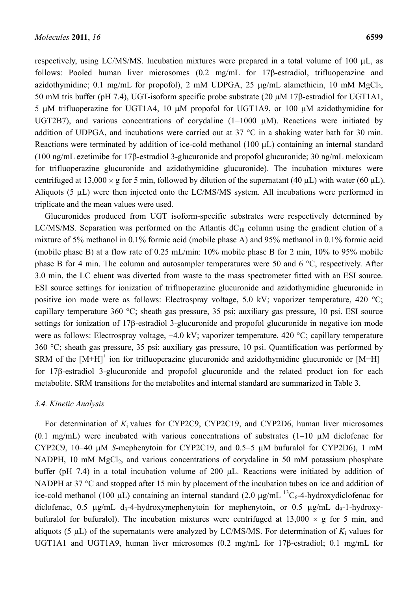respectively, using LC/MS/MS. Incubation mixtures were prepared in a total volume of 100 μL, as follows: Pooled human liver microsomes (0.2 mg/mL for 17β-estradiol, trifluoperazine and azidothymidine; 0.1 mg/mL for propofol), 2 mM UDPGA, 25  $\mu$ g/mL alamethicin, 10 mM MgCl<sub>2</sub>, 50 mM tris buffer (pH 7.4), UGT-isoform specific probe substrate (20 μM 17β-estradiol for UGT1A1, 5 μM trifluoperazine for UGT1A4, 10 μM propofol for UGT1A9, or 100 μM azidothymidine for UGT2B7), and various concentrations of corydaline (1−1000 μM). Reactions were initiated by addition of UDPGA, and incubations were carried out at 37 °C in a shaking water bath for 30 min. Reactions were terminated by addition of ice-cold methanol (100 μL) containing an internal standard (100 ng/mL ezetimibe for 17β-estradiol 3-glucuronide and propofol glucuronide; 30 ng/mL meloxicam for trifluoperazine glucuronide and azidothymidine glucuronide). The incubation mixtures were centrifuged at 13,000  $\times$  g for 5 min, followed by dilution of the supernatant (40 μL) with water (60 μL). Aliquots (5 μL) were then injected onto the LC/MS/MS system. All incubations were performed in triplicate and the mean values were used.

Glucuronides produced from UGT isoform-specific substrates were respectively determined by LC/MS/MS. Separation was performed on the Atlantis  $dC_{18}$  column using the gradient elution of a mixture of 5% methanol in 0.1% formic acid (mobile phase A) and 95% methanol in 0.1% formic acid (mobile phase B) at a flow rate of 0.25 mL/min: 10% mobile phase B for 2 min, 10% to 95% mobile phase B for 4 min. The column and autosampler temperatures were 50 and 6 °C, respectively. After 3.0 min, the LC eluent was diverted from waste to the mass spectrometer fitted with an ESI source. ESI source settings for ionization of trifluoperazine glucuronide and azidothymidine glucuronide in positive ion mode were as follows: Electrospray voltage, 5.0 kV; vaporizer temperature, 420 °C; capillary temperature 360 °C; sheath gas pressure, 35 psi; auxiliary gas pressure, 10 psi. ESI source settings for ionization of 17β-estradiol 3-glucuronide and propofol glucuronide in negative ion mode were as follows: Electrospray voltage, −4.0 kV; vaporizer temperature, 420 °C; capillary temperature 360 °C; sheath gas pressure, 35 psi; auxiliary gas pressure, 10 psi. Quantification was performed by SRM of the [M+H]<sup>+</sup> ion for trifluoperazine glucuronide and azidothymidine glucuronide or [M−H]<sup>-</sup> for 17β-estradiol 3-glucuronide and propofol glucuronide and the related product ion for each metabolite. SRM transitions for the metabolites and internal standard are summarized in Table 3.

# *3.4. Kinetic Analysis*

For determination of *K*i values for CYP2C9, CYP2C19, and CYP2D6, human liver microsomes (0.1 mg/mL) were incubated with various concentrations of substrates (1−10 μM diclofenac for CYP2C9, 10−40 μM *S*-mephenytoin for CYP2C19, and 0.5−5 μM bufuralol for CYP2D6), 1 mM NADPH, 10 mM MgCl<sub>2</sub>, and various concentrations of corydaline in 50 mM potassium phosphate buffer (pH 7.4) in a total incubation volume of 200 μL. Reactions were initiated by addition of NADPH at 37 °C and stopped after 15 min by placement of the incubation tubes on ice and addition of ice-cold methanol (100 μL) containing an internal standard (2.0 μg/mL  $^{13}C_6$ -4-hydroxydiclofenac for diclofenac, 0.5 μg/mL d<sub>3</sub>-4-hydroxymephenytoin for mephenytoin, or 0.5 μg/mL d<sub>9</sub>-1-hydroxybufuralol for bufuralol). The incubation mixtures were centrifuged at  $13,000 \times g$  for 5 min, and aliquots (5  $\mu$ L) of the supernatants were analyzed by LC/MS/MS. For determination of  $K_i$  values for UGT1A1 and UGT1A9, human liver microsomes (0.2 mg/mL for 17β-estradiol; 0.1 mg/mL for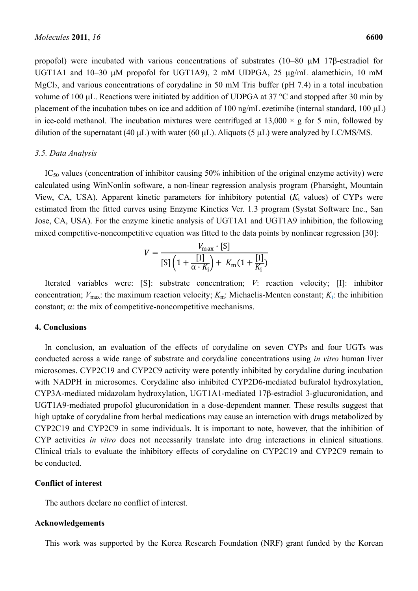propofol) were incubated with various concentrations of substrates (10−80 μM 17β-estradiol for UGT1A1 and 10–30 μM propofol for UGT1A9), 2 mM UDPGA, 25 μg/mL alamethicin, 10 mM  $MgCl<sub>2</sub>$ , and various concentrations of corydaline in 50 mM Tris buffer (pH 7.4) in a total incubation volume of 100 μL. Reactions were initiated by addition of UDPGA at 37 °C and stopped after 30 min by placement of the incubation tubes on ice and addition of 100 ng/mL ezetimibe (internal standard, 100 μL) in ice-cold methanol. The incubation mixtures were centrifuged at  $13,000 \times g$  for 5 min, followed by dilution of the supernatant (40  $\mu$ L) with water (60  $\mu$ L). Aliquots (5  $\mu$ L) were analyzed by LC/MS/MS.

#### *3.5. Data Analysis*

 $IC_{50}$  values (concentration of inhibitor causing 50% inhibition of the original enzyme activity) were calculated using WinNonlin software, a non-linear regression analysis program (Pharsight, Mountain View, CA, USA). Apparent kinetic parameters for inhibitory potential (*K*i values) of CYPs were estimated from the fitted curves using Enzyme Kinetics Ver. 1.3 program (Systat Software Inc., San Jose, CA, USA). For the enzyme kinetic analysis of UGT1A1 and UGT1A9 inhibition, the following mixed competitive-noncompetitive equation was fitted to the data points by nonlinear regression [30]:

$$
V = \frac{V_{\text{max}} \cdot [S]}{[S] \left(1 + \frac{[I]}{\alpha \cdot K_i}\right) + K_{\text{m}}(1 + \frac{[I]}{K_i})}
$$

Iterated variables were: [S]: substrate concentration; *V*: reaction velocity; [I]: inhibitor concentration;  $V_{\text{max}}$ : the maximum reaction velocity;  $K_{\text{m}}$ : Michaelis-Menten constant;  $K_i$ : the inhibition constant;  $\alpha$ : the mix of competitive-noncompetitive mechanisms.

#### **4. Conclusions**

In conclusion, an evaluation of the effects of corydaline on seven CYPs and four UGTs was conducted across a wide range of substrate and corydaline concentrations using *in vitro* human liver microsomes. CYP2C19 and CYP2C9 activity were potently inhibited by corydaline during incubation with NADPH in microsomes. Corydaline also inhibited CYP2D6-mediated bufuralol hydroxylation, CYP3A-mediated midazolam hydroxylation, UGT1A1-mediated 17β-estradiol 3-glucuronidation, and UGT1A9-mediated propofol glucuronidation in a dose-dependent manner. These results suggest that high uptake of corydaline from herbal medications may cause an interaction with drugs metabolized by CYP2C19 and CYP2C9 in some individuals. It is important to note, however, that the inhibition of CYP activities *in vitro* does not necessarily translate into drug interactions in clinical situations. Clinical trials to evaluate the inhibitory effects of corydaline on CYP2C19 and CYP2C9 remain to be conducted.

## **Conflict of interest**

The authors declare no conflict of interest.

#### **Acknowledgements**

This work was supported by the Korea Research Foundation (NRF) grant funded by the Korean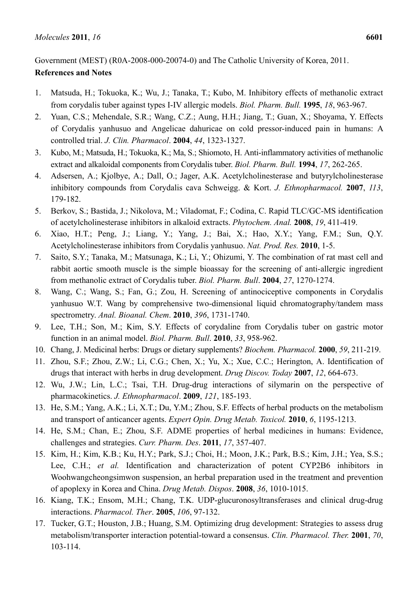# Government (MEST) (R0A-2008-000-20074-0) and The Catholic University of Korea, 2011. **References and Notes**

- 1. Matsuda, H.; Tokuoka, K.; Wu, J.; Tanaka, T.; Kubo, M. Inhibitory effects of methanolic extract from corydalis tuber against types I-IV allergic models. *Biol. Pharm. Bull.* **1995**, *18*, 963-967.
- 2. Yuan, C.S.; Mehendale, S.R.; Wang, C.Z.; Aung, H.H.; Jiang, T.; Guan, X.; Shoyama, Y. Effects of Corydalis yanhusuo and Angelicae dahuricae on cold pressor-induced pain in humans: A controlled trial. *J. Clin. Pharmacol*. **2004**, *44*, 1323-1327.
- 3. Kubo, M.; Matsuda, H.; Tokuoka, K.; Ma, S.; Shiomoto, H. Anti-inflammatory activities of methanolic extract and alkaloidal components from Corydalis tuber. *Biol. Pharm. Bull.* **1994**, *17*, 262-265.
- 4. Adsersen, A.; Kjolbye, A.; Dall, O.; Jager, A.K. Acetylcholinesterase and butyrylcholinesterase inhibitory compounds from Corydalis cava Schweigg. & Kort. *J. Ethnopharmacol.* **2007**, *113*, 179-182.
- 5. Berkov, S.; Bastida, J.; Nikolova, M.; Viladomat, F.; Codina, C. Rapid TLC/GC-MS identification of acetylcholinesterase inhibitors in alkaloid extracts. *Phytochem. Anal.* **2008**, *19*, 411-419.
- 6. Xiao, H.T.; Peng, J.; Liang, Y.; Yang, J.; Bai, X.; Hao, X.Y.; Yang, F.M.; Sun, Q.Y. Acetylcholinesterase inhibitors from Corydalis yanhusuo. *Nat. Prod. Res.* **2010**, 1-5.
- 7. Saito, S.Y.; Tanaka, M.; Matsunaga, K.; Li, Y.; Ohizumi, Y. The combination of rat mast cell and rabbit aortic smooth muscle is the simple bioassay for the screening of anti-allergic ingredient from methanolic extract of Corydalis tuber. *Biol. Pharm. Bull*. **2004**, *27*, 1270-1274.
- 8. Wang, C.; Wang, S.; Fan, G.; Zou, H. Screening of antinociceptive components in Corydalis yanhusuo W.T. Wang by comprehensive two-dimensional liquid chromatography/tandem mass spectrometry. *Anal. Bioanal. Chem*. **2010**, *396*, 1731-1740.
- 9. Lee, T.H.; Son, M.; Kim, S.Y. Effects of corydaline from Corydalis tuber on gastric motor function in an animal model. *Biol. Pharm. Bull*. **2010**, *33*, 958-962.
- 10. Chang, J. Medicinal herbs: Drugs or dietary supplements? *Biochem. Pharmacol.* **2000**, *59*, 211-219.
- 11. Zhou, S.F.; Zhou, Z.W.; Li, C.G.; Chen, X.; Yu, X.; Xue, C.C.; Herington, A. Identification of drugs that interact with herbs in drug development. *Drug Discov. Today* **2007**, *12*, 664-673.
- 12. Wu, J.W.; Lin, L.C.; Tsai, T.H. Drug-drug interactions of silymarin on the perspective of pharmacokinetics. *J. Ethnopharmacol*. **2009**, *121*, 185-193.
- 13. He, S.M.; Yang, A.K.; Li, X.T.; Du, Y.M.; Zhou, S.F. Effects of herbal products on the metabolism and transport of anticancer agents. *Expert Opin. Drug Metab. Toxicol.* **2010**, *6*, 1195-1213.
- 14. He, S.M.; Chan, E.; Zhou, S.F. ADME properties of herbal medicines in humans: Evidence, challenges and strategies. *Curr. Pharm. Des*. **2011**, *17*, 357-407.
- 15. Kim, H.; Kim, K.B.; Ku, H.Y.; Park, S.J.; Choi, H.; Moon, J.K.; Park, B.S.; Kim, J.H.; Yea, S.S.; Lee, C.H.; *et al.* Identification and characterization of potent CYP2B6 inhibitors in Woohwangcheongsimwon suspension, an herbal preparation used in the treatment and prevention of apoplexy in Korea and China. *Drug Metab. Dispos*. **2008**, *36*, 1010-1015.
- 16. Kiang, T.K.; Ensom, M.H.; Chang, T.K. UDP-glucuronosyltransferases and clinical drug-drug interactions. *Pharmacol. Ther*. **2005**, *106*, 97-132.
- 17. Tucker, G.T.; Houston, J.B.; Huang, S.M. Optimizing drug development: Strategies to assess drug metabolism/transporter interaction potential-toward a consensus. *Clin. Pharmacol. Ther.* **2001**, *70*, 103-114.